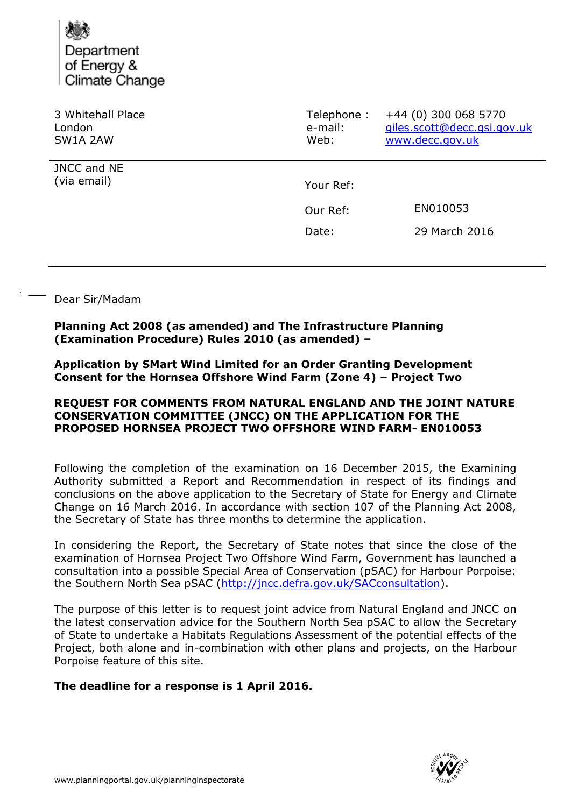

| 3 Whitehall Place<br>London<br>SW1A 2AW | Telephone:<br>e-mail:<br>Web: | +44 (0) 300 068 5770<br>giles.scott@decc.gsi.gov.uk<br>www.decc.gov.uk |
|-----------------------------------------|-------------------------------|------------------------------------------------------------------------|
| JNCC and NE<br>(via email)              | Your Ref:                     |                                                                        |
|                                         |                               |                                                                        |
|                                         | Our Ref:                      | EN010053                                                               |
|                                         | Date:                         | 29 March 2016                                                          |
|                                         |                               |                                                                        |

#### Dear Sir/Madam

### **Planning Act 2008 (as amended) and The Infrastructure Planning (Examination Procedure) Rules 2010 (as amended) –**

**Application by SMart Wind Limited for an Order Granting Development Consent for the Hornsea Offshore Wind Farm (Zone 4) – Project Two** 

### **REQUEST FOR COMMENTS FROM NATURAL ENGLAND AND THE JOINT NATURE CONSERVATION COMMITTEE (JNCC) ON THE APPLICATION FOR THE PROPOSED HORNSEA PROJECT TWO OFFSHORE WIND FARM- EN010053**

Following the completion of the examination on 16 December 2015, the Examining Authority submitted a Report and Recommendation in respect of its findings and conclusions on the above application to the Secretary of State for Energy and Climate Change on 16 March 2016. In accordance with section 107 of the Planning Act 2008, the Secretary of State has three months to determine the application.

In considering the Report, the Secretary of State notes that since the close of the examination of Hornsea Project Two Offshore Wind Farm, Government has launched a consultation into a possible Special Area of Conservation (pSAC) for Harbour Porpoise: the Southern North Sea pSAC [\(http://jncc.defra.gov.uk/SACconsultation\)](http://jncc.defra.gov.uk/SACconsultation).

The purpose of this letter is to request joint advice from Natural England and JNCC on the latest conservation advice for the Southern North Sea pSAC to allow the Secretary of State to undertake a Habitats Regulations Assessment of the potential effects of the Project, both alone and in-combination with other plans and projects, on the Harbour Porpoise feature of this site.

# **The deadline for a response is 1 April 2016.**